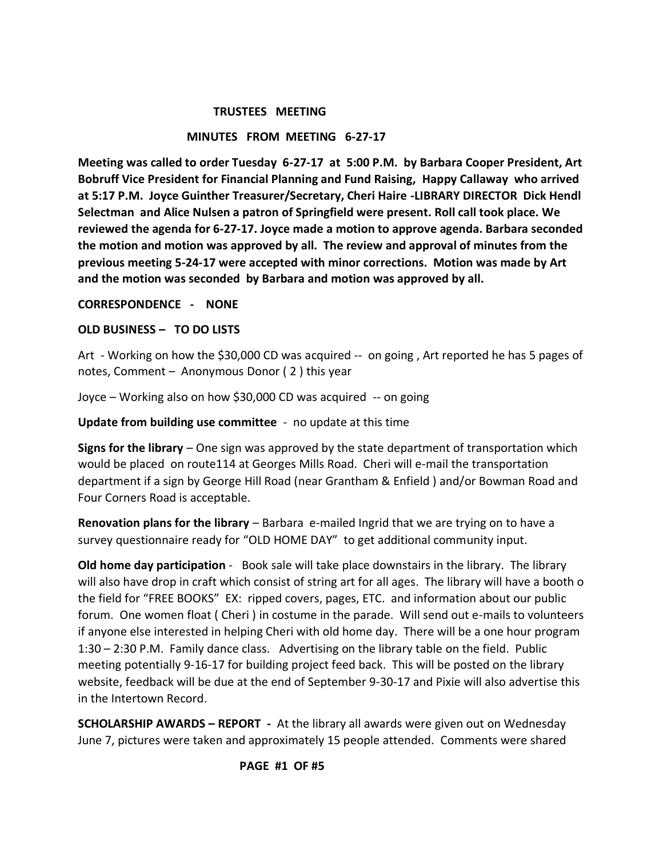### **TRUSTEES MEETING**

## **MINUTES FROM MEETING 6-27-17**

**Meeting was called to order Tuesday 6-27-17 at 5:00 P.M. by Barbara Cooper President, Art Bobruff Vice President for Financial Planning and Fund Raising, Happy Callaway who arrived at 5:17 P.M. Joyce Guinther Treasurer/Secretary, Cheri Haire -LIBRARY DIRECTOR Dick Hendl Selectman and Alice Nulsen a patron of Springfield were present. Roll call took place. We reviewed the agenda for 6-27-17. Joyce made a motion to approve agenda. Barbara seconded the motion and motion was approved by all. The review and approval of minutes from the previous meeting 5-24-17 were accepted with minor corrections. Motion was made by Art and the motion was seconded by Barbara and motion was approved by all.** 

### **CORRESPONDENCE - NONE**

## **OLD BUSINESS – TO DO LISTS**

Art - Working on how the \$30,000 CD was acquired -- on going , Art reported he has 5 pages of notes, Comment – Anonymous Donor ( 2 ) this year

Joyce – Working also on how \$30,000 CD was acquired -- on going

**Update from building use committee** - no update at this time

**Signs for the library** – One sign was approved by the state department of transportation which would be placed on route114 at Georges Mills Road. Cheri will e-mail the transportation department if a sign by George Hill Road (near Grantham & Enfield ) and/or Bowman Road and Four Corners Road is acceptable.

**Renovation plans for the library** – Barbara e-mailed Ingrid that we are trying on to have a survey questionnaire ready for "OLD HOME DAY" to get additional community input.

**Old home day participation** - Book sale will take place downstairs in the library. The library will also have drop in craft which consist of string art for all ages. The library will have a booth o the field for "FREE BOOKS" EX: ripped covers, pages, ETC. and information about our public forum. One women float ( Cheri ) in costume in the parade. Will send out e-mails to volunteers if anyone else interested in helping Cheri with old home day. There will be a one hour program 1:30 – 2:30 P.M. Family dance class. Advertising on the library table on the field. Public meeting potentially 9-16-17 for building project feed back. This will be posted on the library website, feedback will be due at the end of September 9-30-17 and Pixie will also advertise this in the Intertown Record.

**SCHOLARSHIP AWARDS – REPORT -** At the library all awards were given out on Wednesday June 7, pictures were taken and approximately 15 people attended. Comments were shared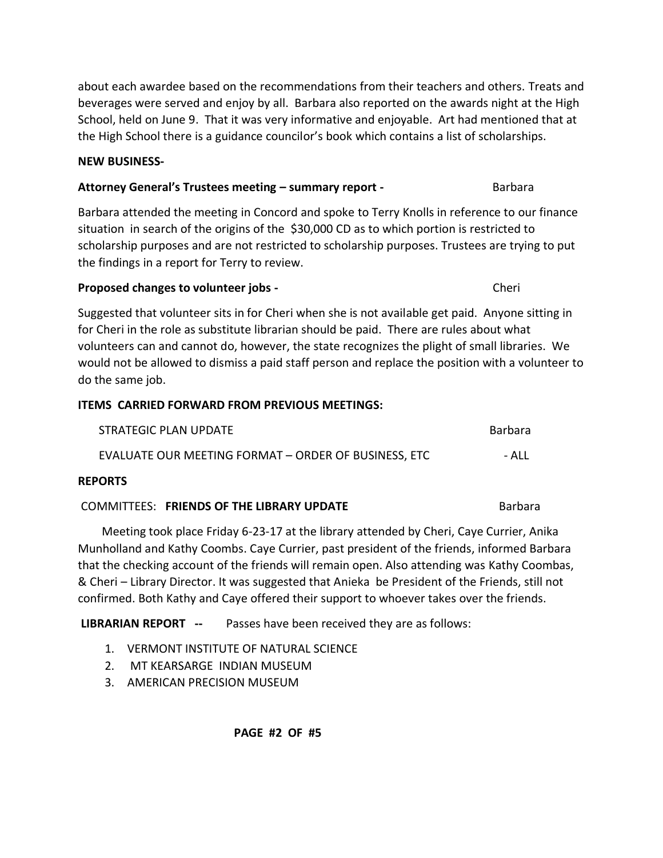about each awardee based on the recommendations from their teachers and others. Treats and beverages were served and enjoy by all. Barbara also reported on the awards night at the High School, held on June 9. That it was very informative and enjoyable. Art had mentioned that at the High School there is a guidance councilor's book which contains a list of scholarships.

# **NEW BUSINESS-**

# **Attorney General's Trustees meeting – summary report - The Contract Barbara**

Barbara attended the meeting in Concord and spoke to Terry Knolls in reference to our finance situation in search of the origins of the \$30,000 CD as to which portion is restricted to scholarship purposes and are not restricted to scholarship purposes. Trustees are trying to put the findings in a report for Terry to review.

# **Proposed changes to volunteer jobs -**  The control of the cherical cherical cherical cherical cherical cherical cherical cherical cherical cherical cherical cherical cherical cherical cherical cherical cherical cherical c

Suggested that volunteer sits in for Cheri when she is not available get paid. Anyone sitting in for Cheri in the role as substitute librarian should be paid. There are rules about what volunteers can and cannot do, however, the state recognizes the plight of small libraries. We would not be allowed to dismiss a paid staff person and replace the position with a volunteer to do the same job.

# **ITEMS CARRIED FORWARD FROM PREVIOUS MEETINGS:**

| STRATEGIC PLAN UPDATE                                | Barbara |
|------------------------------------------------------|---------|
| EVALUATE OUR MEETING FORMAT - ORDER OF BUSINESS, ETC | - ALL   |

# **REPORTS**

# **COMMITTEES: FRIENDS OF THE LIBRARY UPDATE Barbara** Barbara

 Meeting took place Friday 6-23-17 at the library attended by Cheri, Caye Currier, Anika Munholland and Kathy Coombs. Caye Currier, past president of the friends, informed Barbara that the checking account of the friends will remain open. Also attending was Kathy Coombas, & Cheri – Library Director. It was suggested that Anieka be President of the Friends, still not confirmed. Both Kathy and Caye offered their support to whoever takes over the friends.

**LIBRARIAN REPORT --** Passes have been received they are as follows:

- 1. VERMONT INSTITUTE OF NATURAL SCIENCE
- 2. MT KEARSARGE INDIAN MUSEUM
- 3. AMERICAN PRECISION MUSEUM

 **PAGE #2 OF #5**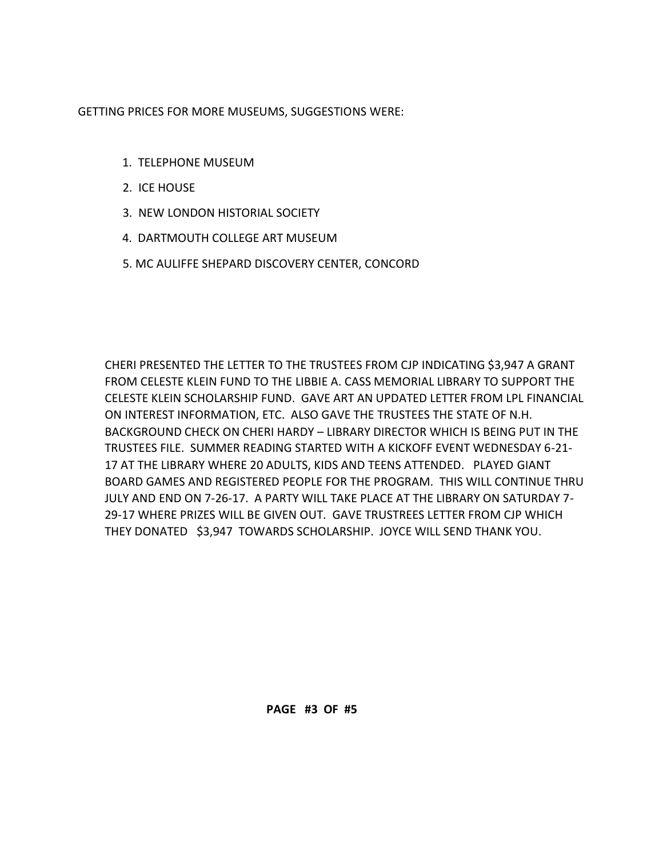GETTING PRICES FOR MORE MUSEUMS, SUGGESTIONS WERE:

- 1. TELEPHONE MUSEUM
- 2. ICE HOUSE
- 3. NEW LONDON HISTORIAL SOCIETY
- 4. DARTMOUTH COLLEGE ART MUSEUM
- 5. MC AULIFFE SHEPARD DISCOVERY CENTER, CONCORD

CHERI PRESENTED THE LETTER TO THE TRUSTEES FROM CJP INDICATING \$3,947 A GRANT FROM CELESTE KLEIN FUND TO THE LIBBIE A. CASS MEMORIAL LIBRARY TO SUPPORT THE CELESTE KLEIN SCHOLARSHIP FUND. GAVE ART AN UPDATED LETTER FROM LPL FINANCIAL ON INTEREST INFORMATION, ETC. ALSO GAVE THE TRUSTEES THE STATE OF N.H. BACKGROUND CHECK ON CHERI HARDY – LIBRARY DIRECTOR WHICH IS BEING PUT IN THE TRUSTEES FILE. SUMMER READING STARTED WITH A KICKOFF EVENT WEDNESDAY 6-21- 17 AT THE LIBRARY WHERE 20 ADULTS, KIDS AND TEENS ATTENDED. PLAYED GIANT BOARD GAMES AND REGISTERED PEOPLE FOR THE PROGRAM. THIS WILL CONTINUE THRU JULY AND END ON 7-26-17. A PARTY WILL TAKE PLACE AT THE LIBRARY ON SATURDAY 7- 29-17 WHERE PRIZES WILL BE GIVEN OUT. GAVE TRUSTREES LETTER FROM CJP WHICH THEY DONATED \$3,947 TOWARDS SCHOLARSHIP. JOYCE WILL SEND THANK YOU.

 **PAGE #3 OF #5**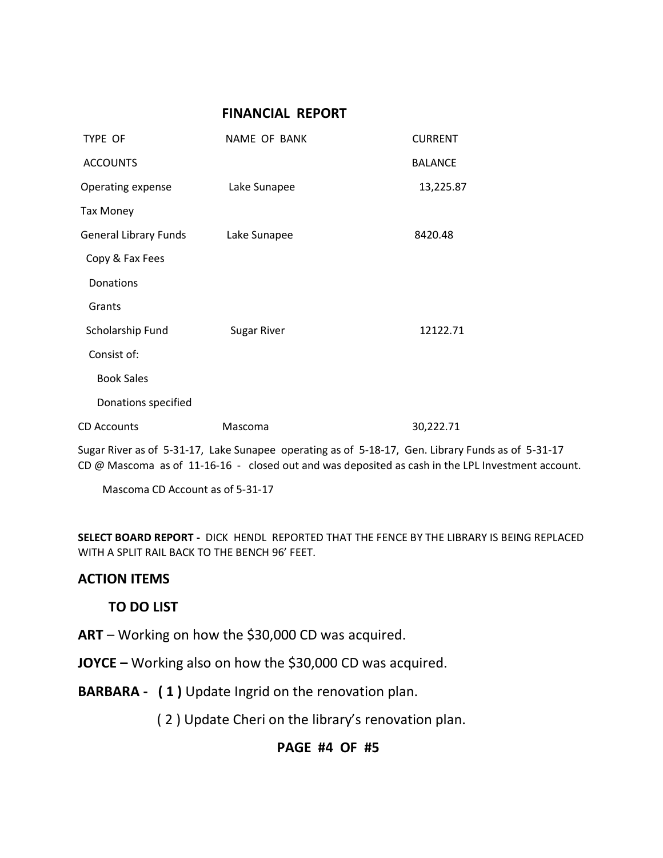## **FINANCIAL REPORT**

| TYPE OF                      | NAME OF BANK       | <b>CURRENT</b> |
|------------------------------|--------------------|----------------|
| <b>ACCOUNTS</b>              |                    | <b>BALANCE</b> |
| Operating expense            | Lake Sunapee       | 13,225.87      |
| <b>Tax Money</b>             |                    |                |
| <b>General Library Funds</b> | Lake Sunapee       | 8420.48        |
| Copy & Fax Fees              |                    |                |
| Donations                    |                    |                |
| Grants                       |                    |                |
| Scholarship Fund             | <b>Sugar River</b> | 12122.71       |
| Consist of:                  |                    |                |
| <b>Book Sales</b>            |                    |                |
| Donations specified          |                    |                |
| CD Accounts                  | Mascoma            | 30,222.71      |

Sugar River as of 5-31-17, Lake Sunapee operating as of 5-18-17, Gen. Library Funds as of 5-31-17 CD @ Mascoma as of 11-16-16 - closed out and was deposited as cash in the LPL Investment account.

Mascoma CD Account as of 5-31-17

**SELECT BOARD REPORT -** DICK HENDL REPORTED THAT THE FENCE BY THE LIBRARY IS BEING REPLACED WITH A SPLIT RAIL BACK TO THE BENCH 96' FEET.

# **ACTION ITEMS**

## **TO DO LIST**

**ART** – Working on how the \$30,000 CD was acquired.

**JOYCE –** Working also on how the \$30,000 CD was acquired.

**BARBARA - ( 1 )** Update Ingrid on the renovation plan.

( 2 ) Update Cheri on the library's renovation plan.

# **PAGE #4 OF #5**